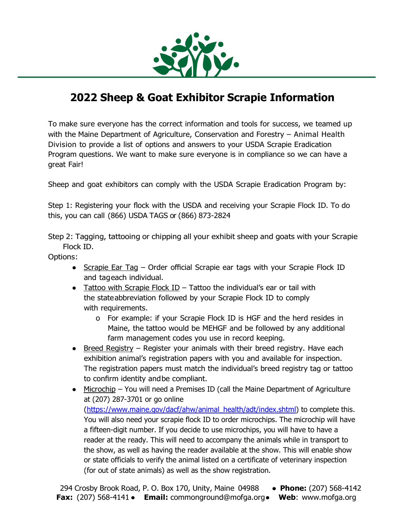

# **2022 Sheep & Goat Exhibitor Scrapie Information**

To make sure everyone has the correct information and tools for success, we teamed up with the Maine Department of Agriculture, Conservation and Forestry – Animal Health Division to provide a list of options and answers to your USDA Scrapie Eradication Program questions. We want to make sure everyone is in compliance so we can have a great Fair!

Sheep and goat exhibitors can comply with the USDA Scrapie Eradication Program by:

Step 1: Registering your flock with the USDA and receiving your Scrapie Flock ID. To do this, you can call (866) USDA TAGS or (866) 873-2824

Step 2: Tagging, tattooing or chipping all your exhibit sheep and goats with your Scrapie Flock ID.

Options:

- Scrapie Ear Tag Order official Scrapie ear tags with your Scrapie Flock ID and tageach individual.
- $\bullet$  Tattoo with Scrapie Flock ID Tattoo the individual's ear or tail with the stateabbreviation followed by your Scrapie Flock ID to comply with requirements.
	- o For example: if your Scrapie Flock ID is HGF and the herd resides in Maine, the tattoo would be MEHGF and be followed by any additional farm management codes you use in record keeping.
- Breed Registry Register your animals with their breed registry. Have each exhibition animal's registration papers with you and available for inspection. The registration papers must match the individual's breed registry tag or tattoo to confirm identity andbe compliant.
- Microchip You will need a Premises ID (call the Maine Department of Agriculture at (207) 287-3701 or go online (https://www.maine.gov/dacf/ahw/animal\_health/adt/index.shtml) to complete this. You will also need your scrapie flock ID to order microchips. The microchip will have a fifteen-digit number. If you decide to use microchips, you will have to have a reader at the ready. This will need to accompany the animals while in transport to the show, as well as having the reader available at the show. This will enable show or state officials to verify the animal listed on a certificate of veterinary inspection (for out of state animals) as well as the show registration.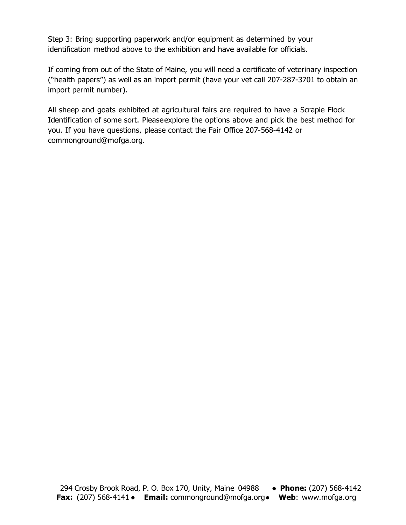Step 3: Bring supporting paperwork and/or equipment as determined by your identification method above to the exhibition and have available for officials.

If coming from out of the State of Maine, you will need a certificate of veterinary inspection ("health papers") as well as an import permit (have your vet call 207-287-3701 to obtain an import permit number).

All sheep and goats exhibited at agricultural fairs are required to have a Scrapie Flock Identification of some sort. Pleaseexplore the options above and pick the best method for you. If you have questions, please contact the Fair Office 207-568-4142 or commonground@mofga.org.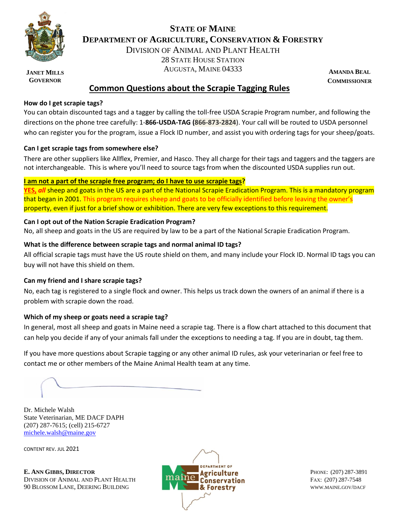

**JANET MILLS GOVERNOR**

### **STATE OF MAINE DEPARTMENT OF AGRICULTURE, CONSERVATION & FORESTRY**

DIVISION OF ANIMAL AND PLANT HEALTH 28 STATE HOUSE STATION

AUGUSTA, MAINE 04333

**AMANDA BEAL COMMISSIONER**

### **Common Questions about the Scrapie Tagging Rules**

#### **How do I get scrapie tags?**

You can obtain discounted tags and a tagger by calling the toll-free USDA Scrapie Program number, and following the directions on the phone tree carefully: 1-**866-USDA-TAG (866-873-2824**). Your call will be routed to USDA personnel who can register you for the program, issue a Flock ID number, and assist you with ordering tags for your sheep/goats.

#### **Can I get scrapie tags from somewhere else?**

There are other suppliers like Allflex, Premier, and Hasco. They all charge for their tags and taggers and the taggers are not interchangeable. This is where you'll need to source tags from when the discounted USDA supplies run out.

#### **I am not a part of the scrapie free program; do I have to use scrapie tags?**

**YES,** *all* sheep and goats in the US are a part of the National Scrapie Eradication Program. This is a mandatory program that began in 2001. This program requires sheep and goats to be officially identified before leaving the owner's property, even if just for a brief show or exhibition. There are very few exceptions to this requirement.

#### **Can I opt out of the Nation Scrapie Eradication Program?**

No, all sheep and goats in the US are required by law to be a part of the National Scrapie Eradication Program.

#### **What is the difference between scrapie tags and normal animal ID tags?**

All official scrapie tags must have the US route shield on them, and many include your Flock ID. Normal ID tags you can buy will not have this shield on them.

#### **Can my friend and I share scrapie tags?**

No, each tag is registered to a single flock and owner. This helps us track down the owners of an animal if there is a problem with scrapie down the road.

#### **Which of my sheep or goats need a scrapie tag?**

In general, most all sheep and goats in Maine need a scrapie tag. There is a flow chart attached to this document that can help you decide if any of your animals fall under the exceptions to needing a tag. If you are in doubt, tag them.

If you have more questions about Scrapie tagging or any other animal ID rules, ask your veterinarian or feel free to contact me or other members of the Maine Animal Health team at any time.

Dr. Michele Walsh State Veterinarian, ME DACF DAPH (207) 287-7615; (cell) 215-6727 [michele.walsh@maine.gov](mailto:michele.walsh@maine.gov)

CONTENT REV. JUL 2021

**E.** ANN GIBBS, DIRECTOR **ALECTOR EXECUTIVE AEXECUTIVE PHONE:** (207) 287-3891 DIVISION OF ANIMAL AND PLANT HEALTH **FAX: (207) 287-7548** 90 BLOSSOM LANE, DEERING BUILDING **WWW.MAINE.GOV/DACF & Forestry** WWW.MAINE.GOV/DACF

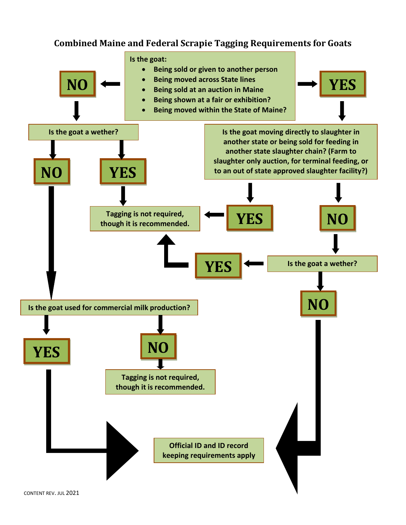# **Combined Maine and Federal Scrapie Tagging Requirements for Goats**